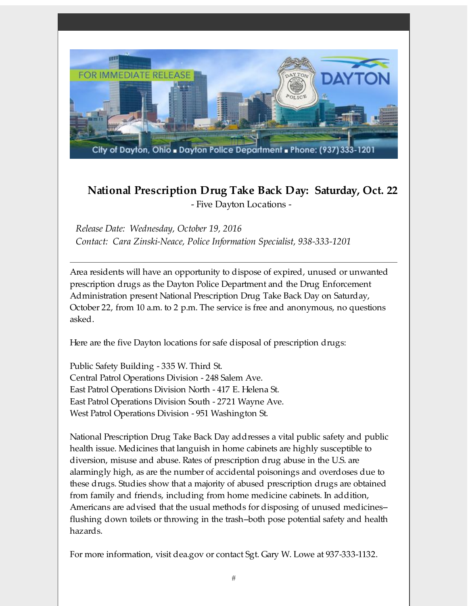

## **National Prescription Drug Take Back Day: Saturday, Oct. 22** - Five Dayton Locations -

*Release Date: Wednesday, October 19, 2016 Contact: Cara Zinski-Neace, Police Information Specialist, 938-333-1201*

Area residents will have an opportunity to dispose of expired, unused or unwanted prescription drugs as the Dayton Police Department and the Drug Enforcement Administration present National Prescription Drug Take Back Day on Saturday, October 22, from 10 a.m. to 2 p.m. The service is free and anonymous, no questions asked.

Here are the five Dayton locations for safe disposal of prescription drugs:

Public Safety Building - 335 W. Third St. Central Patrol Operations Division - 248 Salem Ave. East Patrol Operations Division North - 417 E. Helena St. East Patrol Operations Division South - 2721 Wayne Ave. West Patrol Operations Division - 951 Washington St.

National Prescription Drug Take Back Day addresses a vital public safety and public health issue. Medicines that languish in home cabinets are highly susceptible to diversion, misuse and abuse. Rates of prescription drug abuse in the U.S. are alarmingly high, as are the number of accidental poisonings and overdoses due to these drugs. Studies show that a majority of abused prescription drugs are obtained from family and friends, including from home medicine cabinets. In addition, Americans are advised that the usual methods for disposing of unused medicines- flushing down toilets or throwing in the trash--both pose potential safety and health hazards.

For more information, visit dea.gov or contact Sgt. Gary W. Lowe at 937-333-1132.